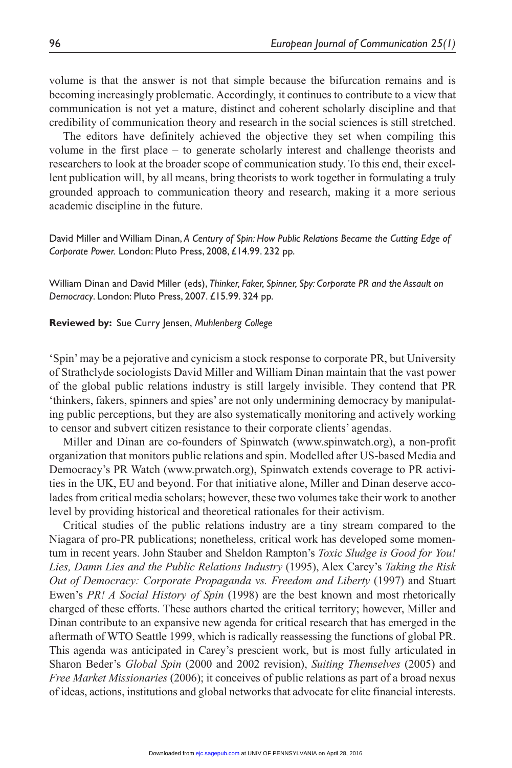volume is that the answer is not that simple because the bifurcation remains and is becoming increasingly problematic. Accordingly, it continues to contribute to a view that communication is not yet a mature, distinct and coherent scholarly discipline and that credibility of communication theory and research in the social sciences is still stretched.

The editors have definitely achieved the objective they set when compiling this volume in the first place – to generate scholarly interest and challenge theorists and researchers to look at the broader scope of communication study. To this end, their excellent publication will, by all means, bring theorists to work together in formulating a truly grounded approach to communication theory and research, making it a more serious academic discipline in the future.

David Miller and William Dinan, *A Century of Spin: How Public Relations Became the Cutting Edge of Corporate Power.* London: Pluto Press, 2008, £14.99. 232 pp.

William Dinan and David Miller (eds), *Thinker, Faker, Spinner, Spy: Corporate PR and the Assault on Democracy*. London: Pluto Press, 2007. £15.99. 324 pp.

## **Reviewed by:** Sue Curry Jensen, *Muhlenberg College*

'Spin' may be a pejorative and cynicism a stock response to corporate PR, but University of Strathclyde sociologists David Miller and William Dinan maintain that the vast power of the global public relations industry is still largely invisible. They contend that PR 'thinkers, fakers, spinners and spies' are not only undermining democracy by manipulating public perceptions, but they are also systematically monitoring and actively working to censor and subvert citizen resistance to their corporate clients' agendas.

Miller and Dinan are co-founders of Spinwatch (www.spinwatch.org), a non-profit organization that monitors public relations and spin. Modelled after US-based Media and Democracy's PR Watch (www.prwatch.org), Spinwatch extends coverage to PR activities in the UK, EU and beyond. For that initiative alone, Miller and Dinan deserve accolades from critical media scholars; however, these two volumes take their work to another level by providing historical and theoretical rationales for their activism.

Critical studies of the public relations industry are a tiny stream compared to the Niagara of pro-PR publications; nonetheless, critical work has developed some momentum in recent years. John Stauber and Sheldon Rampton's *Toxic Sludge is Good for You! Lies, Damn Lies and the Public Relations Industry* (1995), Alex Carey's *Taking the Risk Out of Democracy: Corporate Propaganda vs. Freedom and Liberty* (1997) and Stuart Ewen's *PR! A Social History of Spin* (1998) are the best known and most rhetorically charged of these efforts. These authors charted the critical territory; however, Miller and Dinan contribute to an expansive new agenda for critical research that has emerged in the aftermath of WTO Seattle 1999, which is radically reassessing the functions of global PR. This agenda was anticipated in Carey's prescient work, but is most fully articulated in Sharon Beder's *Global Spin* (2000 and 2002 revision), *Suiting Themselves* (2005) and *Free Market Missionaries* (2006); it conceives of public relations as part of a broad nexus of ideas, actions, institutions and global networks that advocate for elite financial interests.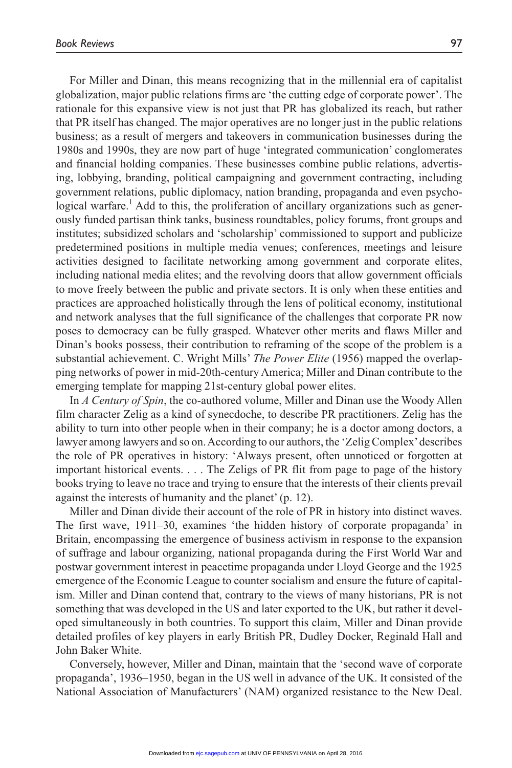For Miller and Dinan, this means recognizing that in the millennial era of capitalist globalization, major public relations firms are 'the cutting edge of corporate power'. The rationale for this expansive view is not just that PR has globalized its reach, but rather that PR itself has changed. The major operatives are no longer just in the public relations business; as a result of mergers and takeovers in communication businesses during the 1980s and 1990s, they are now part of huge 'integrated communication' conglomerates and financial holding companies. These businesses combine public relations, advertising, lobbying, branding, political campaigning and government contracting, including government relations, public diplomacy, nation branding, propaganda and even psychological warfare.<sup>1</sup> Add to this, the proliferation of ancillary organizations such as generously funded partisan think tanks, business roundtables, policy forums, front groups and institutes; subsidized scholars and 'scholarship' commissioned to support and publicize predetermined positions in multiple media venues; conferences, meetings and leisure activities designed to facilitate networking among government and corporate elites, including national media elites; and the revolving doors that allow government officials to move freely between the public and private sectors. It is only when these entities and practices are approached holistically through the lens of political economy, institutional and network analyses that the full significance of the challenges that corporate PR now poses to democracy can be fully grasped. Whatever other merits and flaws Miller and Dinan's books possess, their contribution to reframing of the scope of the problem is a substantial achievement. C. Wright Mills' *The Power Elite* (1956) mapped the overlapping networks of power in mid-20th-century America; Miller and Dinan contribute to the emerging template for mapping 21st-century global power elites.

In *A Century of Spin*, the co-authored volume, Miller and Dinan use the Woody Allen film character Zelig as a kind of synecdoche, to describe PR practitioners. Zelig has the ability to turn into other people when in their company; he is a doctor among doctors, a lawyer among lawyers and so on. According to our authors, the 'Zelig Complex' describes the role of PR operatives in history: 'Always present, often unnoticed or forgotten at important historical events. . . . The Zeligs of PR flit from page to page of the history books trying to leave no trace and trying to ensure that the interests of their clients prevail against the interests of humanity and the planet' (p. 12).

Miller and Dinan divide their account of the role of PR in history into distinct waves. The first wave, 1911–30, examines 'the hidden history of corporate propaganda' in Britain, encompassing the emergence of business activism in response to the expansion of suffrage and labour organizing, national propaganda during the First World War and postwar government interest in peacetime propaganda under Lloyd George and the 1925 emergence of the Economic League to counter socialism and ensure the future of capitalism. Miller and Dinan contend that, contrary to the views of many historians, PR is not something that was developed in the US and later exported to the UK, but rather it developed simultaneously in both countries. To support this claim, Miller and Dinan provide detailed profiles of key players in early British PR, Dudley Docker, Reginald Hall and John Baker White.

Conversely, however, Miller and Dinan, maintain that the 'second wave of corporate propaganda', 1936–1950, began in the US well in advance of the UK. It consisted of the National Association of Manufacturers' (NAM) organized resistance to the New Deal.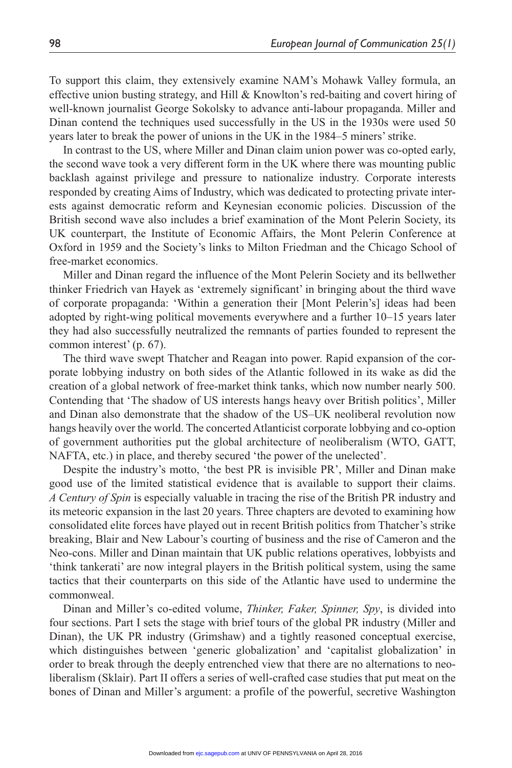To support this claim, they extensively examine NAM's Mohawk Valley formula, an effective union busting strategy, and Hill & Knowlton's red-baiting and covert hiring of well-known journalist George Sokolsky to advance anti-labour propaganda. Miller and Dinan contend the techniques used successfully in the US in the 1930s were used 50 years later to break the power of unions in the UK in the 1984–5 miners' strike.

In contrast to the US, where Miller and Dinan claim union power was co-opted early, the second wave took a very different form in the UK where there was mounting public backlash against privilege and pressure to nationalize industry. Corporate interests responded by creating Aims of Industry, which was dedicated to protecting private interests against democratic reform and Keynesian economic policies. Discussion of the British second wave also includes a brief examination of the Mont Pelerin Society, its UK counterpart, the Institute of Economic Affairs, the Mont Pelerin Conference at Oxford in 1959 and the Society's links to Milton Friedman and the Chicago School of free-market economics.

Miller and Dinan regard the influence of the Mont Pelerin Society and its bellwether thinker Friedrich van Hayek as 'extremely significant' in bringing about the third wave of corporate propaganda: 'Within a generation their [Mont Pelerin's] ideas had been adopted by right-wing political movements everywhere and a further 10–15 years later they had also successfully neutralized the remnants of parties founded to represent the common interest' (p. 67).

The third wave swept Thatcher and Reagan into power. Rapid expansion of the corporate lobbying industry on both sides of the Atlantic followed in its wake as did the creation of a global network of free-market think tanks, which now number nearly 500. Contending that 'The shadow of US interests hangs heavy over British politics', Miller and Dinan also demonstrate that the shadow of the US–UK neoliberal revolution now hangs heavily over the world. The concerted Atlanticist corporate lobbying and co-option of government authorities put the global architecture of neoliberalism (WTO, GATT, NAFTA, etc.) in place, and thereby secured 'the power of the unelected'.

Despite the industry's motto, 'the best PR is invisible PR', Miller and Dinan make good use of the limited statistical evidence that is available to support their claims. *A Century of Spin* is especially valuable in tracing the rise of the British PR industry and its meteoric expansion in the last 20 years. Three chapters are devoted to examining how consolidated elite forces have played out in recent British politics from Thatcher's strike breaking, Blair and New Labour's courting of business and the rise of Cameron and the Neo-cons. Miller and Dinan maintain that UK public relations operatives, lobbyists and 'think tankerati' are now integral players in the British political system, using the same tactics that their counterparts on this side of the Atlantic have used to undermine the commonweal.

Dinan and Miller's co-edited volume, *Thinker, Faker, Spinner, Spy*, is divided into four sections. Part I sets the stage with brief tours of the global PR industry (Miller and Dinan), the UK PR industry (Grimshaw) and a tightly reasoned conceptual exercise, which distinguishes between 'generic globalization' and 'capitalist globalization' in order to break through the deeply entrenched view that there are no alternations to neoliberalism (Sklair). Part II offers a series of well-crafted case studies that put meat on the bones of Dinan and Miller's argument: a profile of the powerful, secretive Washington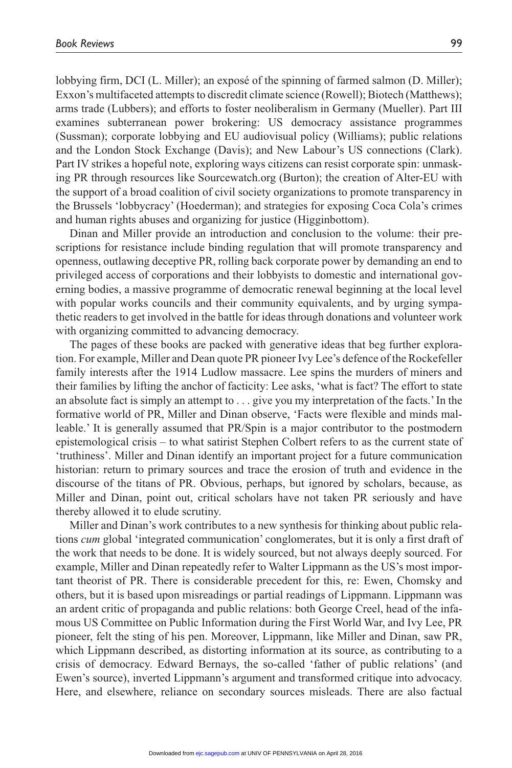lobbying firm, DCI (L. Miller); an exposé of the spinning of farmed salmon (D. Miller); Exxon's multifaceted attempts to discredit climate science (Rowell); Biotech (Matthews); arms trade (Lubbers); and efforts to foster neoliberalism in Germany (Mueller). Part III examines subterranean power brokering: US democracy assistance programmes (Sussman); corporate lobbying and EU audiovisual policy (Williams); public relations and the London Stock Exchange (Davis); and New Labour's US connections (Clark). Part IV strikes a hopeful note, exploring ways citizens can resist corporate spin: unmasking PR through resources like Sourcewatch.org (Burton); the creation of Alter-EU with the support of a broad coalition of civil society organizations to promote transparency in the Brussels 'lobbycracy' (Hoederman); and strategies for exposing Coca Cola's crimes and human rights abuses and organizing for justice (Higginbottom).

Dinan and Miller provide an introduction and conclusion to the volume: their prescriptions for resistance include binding regulation that will promote transparency and openness, outlawing deceptive PR, rolling back corporate power by demanding an end to privileged access of corporations and their lobbyists to domestic and international governing bodies, a massive programme of democratic renewal beginning at the local level with popular works councils and their community equivalents, and by urging sympathetic readers to get involved in the battle for ideas through donations and volunteer work with organizing committed to advancing democracy.

The pages of these books are packed with generative ideas that beg further exploration. For example, Miller and Dean quote PR pioneer Ivy Lee's defence of the Rockefeller family interests after the 1914 Ludlow massacre. Lee spins the murders of miners and their families by lifting the anchor of facticity: Lee asks, 'what is fact? The effort to state an absolute fact is simply an attempt to . . . give you my interpretation of the facts.' In the formative world of PR, Miller and Dinan observe, 'Facts were flexible and minds malleable.' It is generally assumed that PR/Spin is a major contributor to the postmodern epistemological crisis – to what satirist Stephen Colbert refers to as the current state of 'truthiness'. Miller and Dinan identify an important project for a future communication historian: return to primary sources and trace the erosion of truth and evidence in the discourse of the titans of PR. Obvious, perhaps, but ignored by scholars, because, as Miller and Dinan, point out, critical scholars have not taken PR seriously and have thereby allowed it to elude scrutiny.

Miller and Dinan's work contributes to a new synthesis for thinking about public relations *cum* global 'integrated communication' conglomerates, but it is only a first draft of the work that needs to be done. It is widely sourced, but not always deeply sourced. For example, Miller and Dinan repeatedly refer to Walter Lippmann as the US's most important theorist of PR. There is considerable precedent for this, re: Ewen, Chomsky and others, but it is based upon misreadings or partial readings of Lippmann. Lippmann was an ardent critic of propaganda and public relations: both George Creel, head of the infamous US Committee on Public Information during the First World War, and Ivy Lee, PR pioneer, felt the sting of his pen. Moreover, Lippmann, like Miller and Dinan, saw PR, which Lippmann described, as distorting information at its source, as contributing to a crisis of democracy. Edward Bernays, the so-called 'father of public relations' (and Ewen's source), inverted Lippmann's argument and transformed critique into advocacy. Here, and elsewhere, reliance on secondary sources misleads. There are also factual